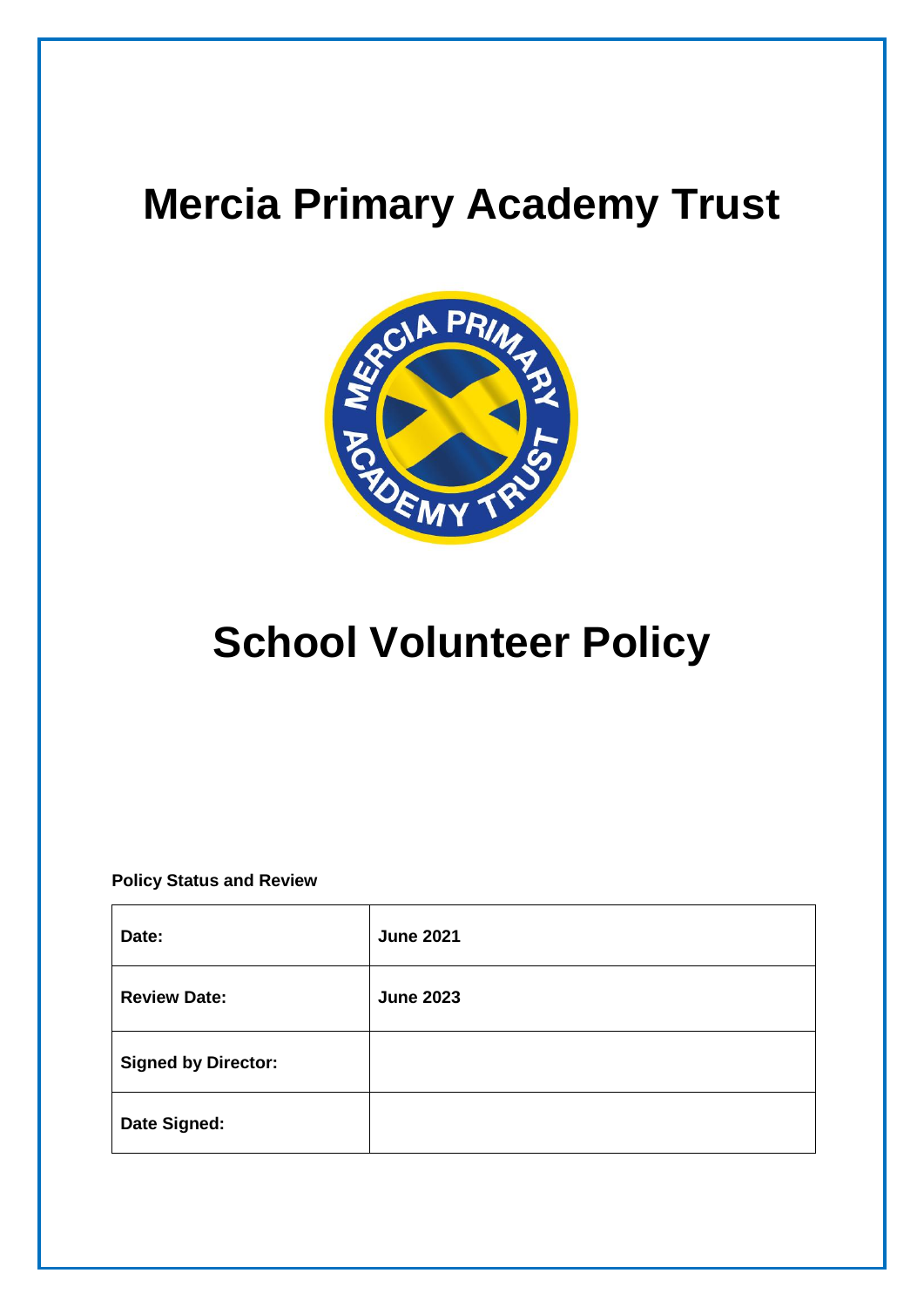## **Mercia Primary Academy Trust**



# **School Volunteer Policy**

**Policy Status and Review**

| Date:                      | <b>June 2021</b> |
|----------------------------|------------------|
| <b>Review Date:</b>        | <b>June 2023</b> |
| <b>Signed by Director:</b> |                  |
| Date Signed:               |                  |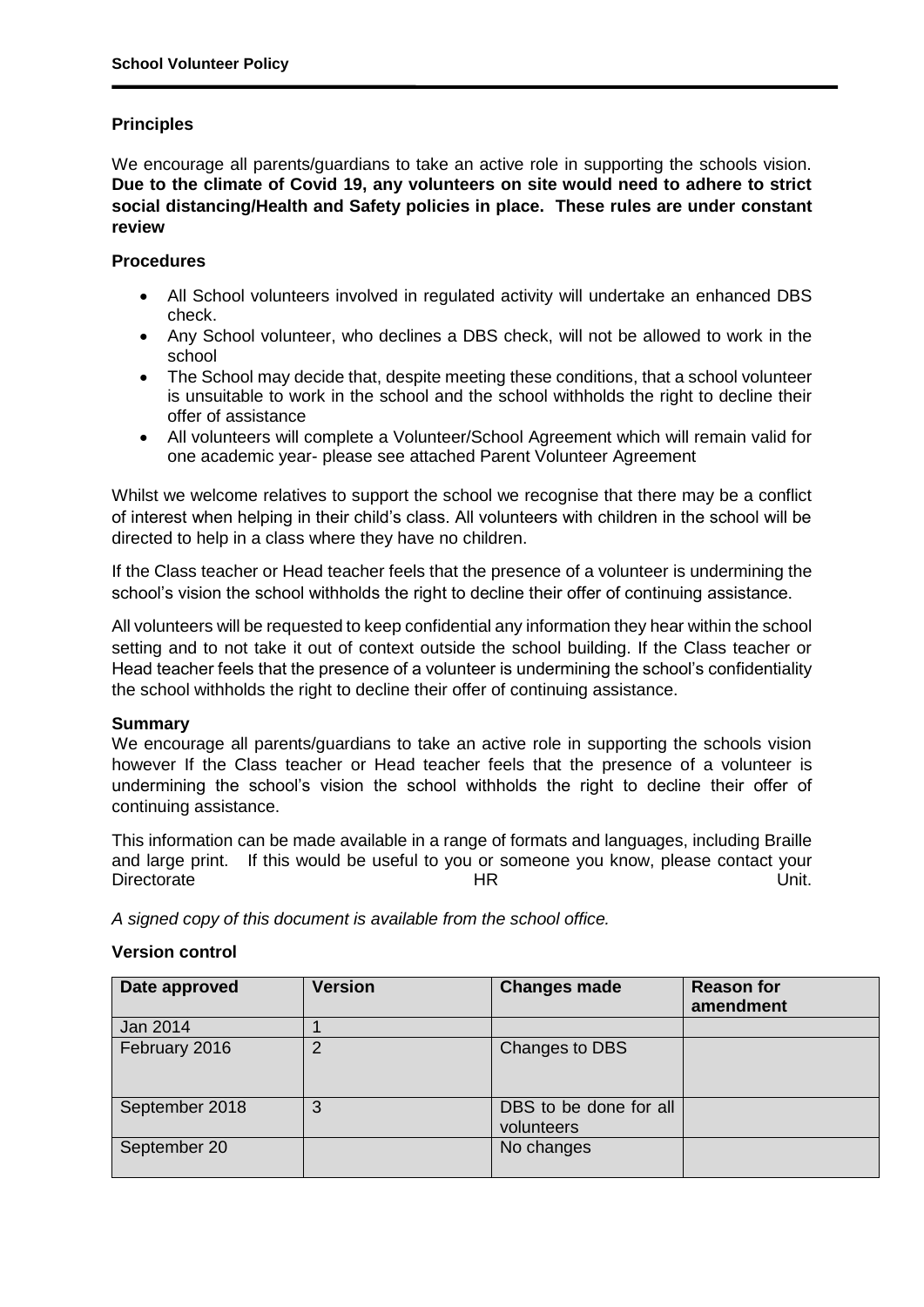### **Principles**

We encourage all parents/guardians to take an active role in supporting the schools vision. **Due to the climate of Covid 19, any volunteers on site would need to adhere to strict social distancing/Health and Safety policies in place. These rules are under constant review**

#### **Procedures**

- All School volunteers involved in regulated activity will undertake an enhanced DBS check.
- Any School volunteer, who declines a DBS check, will not be allowed to work in the school
- The School may decide that, despite meeting these conditions, that a school volunteer is unsuitable to work in the school and the school withholds the right to decline their offer of assistance
- All volunteers will complete a Volunteer/School Agreement which will remain valid for one academic year- please see attached Parent Volunteer Agreement

Whilst we welcome relatives to support the school we recognise that there may be a conflict of interest when helping in their child's class. All volunteers with children in the school will be directed to help in a class where they have no children.

If the Class teacher or Head teacher feels that the presence of a volunteer is undermining the school's vision the school withholds the right to decline their offer of continuing assistance.

All volunteers will be requested to keep confidential any information they hear within the school setting and to not take it out of context outside the school building. If the Class teacher or Head teacher feels that the presence of a volunteer is undermining the school's confidentiality the school withholds the right to decline their offer of continuing assistance.

#### **Summary**

We encourage all parents/guardians to take an active role in supporting the schools vision however If the Class teacher or Head teacher feels that the presence of a volunteer is undermining the school's vision the school withholds the right to decline their offer of continuing assistance.

This information can be made available in a range of formats and languages, including Braille and large print. If this would be useful to you or someone you know, please contact your Directorate Unit. The Branch HR Unit.

*A signed copy of this document is available from the school office.*

#### **Version control**

| Date approved  | <b>Version</b> | <b>Changes made</b>                  | <b>Reason for</b><br>amendment |
|----------------|----------------|--------------------------------------|--------------------------------|
| Jan 2014       |                |                                      |                                |
| February 2016  | っ              | Changes to DBS                       |                                |
| September 2018 | 3              | DBS to be done for all<br>volunteers |                                |
| September 20   |                | No changes                           |                                |